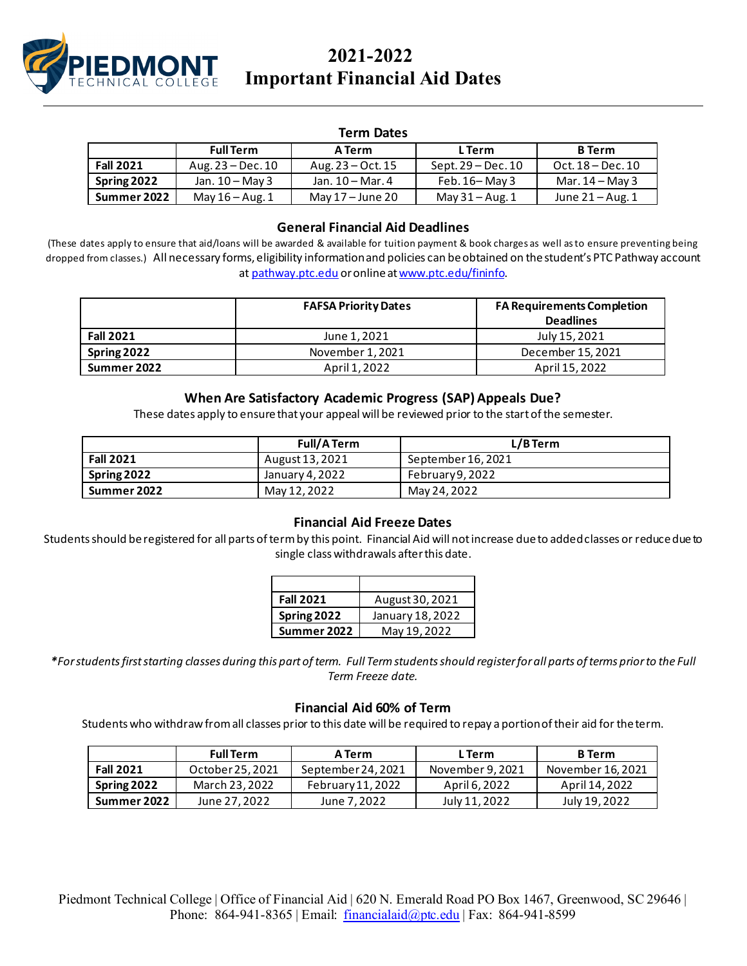

# **2021-2022 Important Financial Aid Dates**

#### **Term Dates**

|                  | <b>Full Term</b>    | A Term              | L Term               | <b>B</b> Term     |
|------------------|---------------------|---------------------|----------------------|-------------------|
| <b>Fall 2021</b> | Aug. $23 - Dec. 10$ | Aug. $23 - Oct. 15$ | Sept. $29 - Dec. 10$ | Oct. 18 – Dec. 10 |
| Spring 2022      | Jan. $10 -$ May 3   | Jan. 10 – Mar. 4    | Feb. $16 -$ May 3    | Mar. $14 -$ May 3 |
| Summer 2022      | May $16 - Aug. 1$   | May $17 -$ June 20  | May $31 -$ Aug. 1    | June $21 - Aug.1$ |

## **General Financial Aid Deadlines**

(These dates apply to ensure that aid/loans will be awarded & available for tuition payment & book charges as well as to ensure preventing being dropped from classes.) All necessary forms, eligibility information and policies can be obtained on the student's PTC Pathway account at [pathway.ptc.edu](http://pathwayiv.ptc.edu/) or online a[t www.ptc.edu/fininfo.](http://www.ptc.edu/fininfo)

|                  | <b>FAFSA Priority Dates</b> | <b>FA Requirements Completion</b><br><b>Deadlines</b> |
|------------------|-----------------------------|-------------------------------------------------------|
| <b>Fall 2021</b> | June 1, 2021                | July 15, 2021                                         |
| Spring 2022      | November 1, 2021            | December 15, 2021                                     |
| Summer 2022      | April 1, 2022               | April 15, 2022                                        |

### **When Are Satisfactory Academic Progress (SAP) Appeals Due?**

These dates apply to ensure that your appeal will be reviewed prior to the start of the semester.

|                  | <b>Full/A Term</b> | L/BTerm            |
|------------------|--------------------|--------------------|
| <b>Fall 2021</b> | August 13, 2021    | September 16, 2021 |
| Spring 2022      | January 4, 2022    | February 9, 2022   |
| Summer 2022      | May 12, 2022       | May 24, 2022       |

#### **Financial Aid Freeze Dates**

Students should be registered for all parts of term by this point. Financial Aid will not increase due to added classes or reduce due to single class withdrawals after this date.

| <b>Fall 2021</b> | August 30, 2021  |
|------------------|------------------|
| Spring 2022      | January 18, 2022 |
| Summer 2022      | May 19, 2022     |

*\*For students first starting classes during this part of term. Full Term students should register for all parts of terms prior to the Full Term Freeze date.*

#### **Financial Aid 60% of Term**

Students who withdraw from all classes prior to this date will be required to repay a portion of their aid for the term.

|                  | <b>Full Term</b> | A Term             | L Term           | <b>B</b> Term     |
|------------------|------------------|--------------------|------------------|-------------------|
| <b>Fall 2021</b> | October 25, 2021 | September 24, 2021 | November 9, 2021 | November 16, 2021 |
| Spring 2022      | March 23, 2022   | February 11, 2022  | April 6, 2022    | April 14, 2022    |
| Summer 2022      | June 27, 2022    | June 7, 2022       | July 11, 2022    | July 19, 2022     |